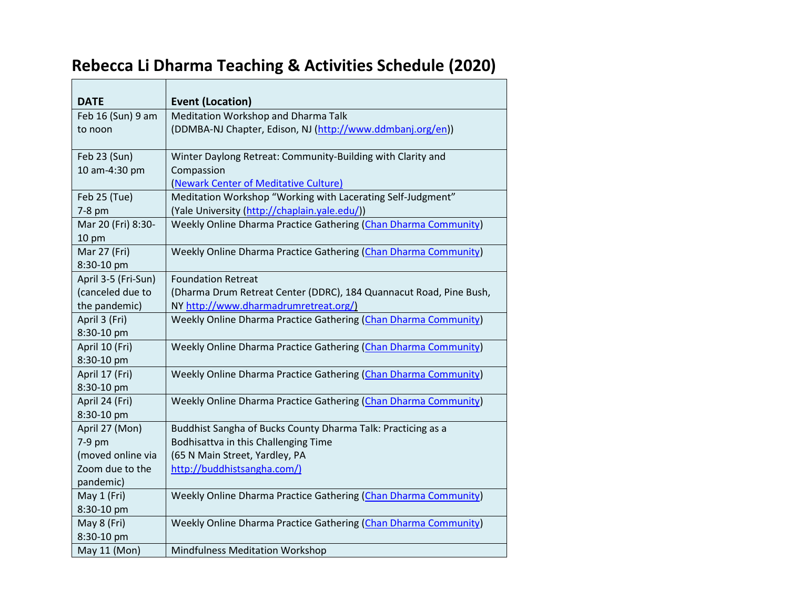## **Rebecca Li Dharma Teaching & Activities Schedule (2020)**

┯

| <b>DATE</b>         | <b>Event (Location)</b>                                            |
|---------------------|--------------------------------------------------------------------|
| Feb 16 (Sun) 9 am   | Meditation Workshop and Dharma Talk                                |
| to noon             | (DDMBA-NJ Chapter, Edison, NJ (http://www.ddmbanj.org/en))         |
| Feb 23 (Sun)        | Winter Daylong Retreat: Community-Building with Clarity and        |
| 10 am-4:30 pm       | Compassion                                                         |
|                     | (Newark Center of Meditative Culture)                              |
| Feb 25 (Tue)        | Meditation Workshop "Working with Lacerating Self-Judgment"        |
| 7-8 pm              | (Yale University (http://chaplain.yale.edu/))                      |
| Mar 20 (Fri) 8:30-  | Weekly Online Dharma Practice Gathering (Chan Dharma Community)    |
| 10 pm               |                                                                    |
| Mar 27 (Fri)        | Weekly Online Dharma Practice Gathering (Chan Dharma Community)    |
| 8:30-10 pm          |                                                                    |
| April 3-5 (Fri-Sun) | <b>Foundation Retreat</b>                                          |
| (canceled due to    | (Dharma Drum Retreat Center (DDRC), 184 Quannacut Road, Pine Bush, |
| the pandemic)       | NY http://www.dharmadrumretreat.org/)                              |
| April 3 (Fri)       | Weekly Online Dharma Practice Gathering (Chan Dharma Community)    |
| 8:30-10 pm          |                                                                    |
| April 10 (Fri)      | Weekly Online Dharma Practice Gathering (Chan Dharma Community)    |
| 8:30-10 pm          |                                                                    |
| April 17 (Fri)      | Weekly Online Dharma Practice Gathering (Chan Dharma Community)    |
| 8:30-10 pm          |                                                                    |
| April 24 (Fri)      | Weekly Online Dharma Practice Gathering (Chan Dharma Community)    |
| 8:30-10 pm          |                                                                    |
| April 27 (Mon)      | Buddhist Sangha of Bucks County Dharma Talk: Practicing as a       |
| 7-9 pm              | Bodhisattva in this Challenging Time                               |
| (moved online via   | (65 N Main Street, Yardley, PA                                     |
| Zoom due to the     | http://buddhistsangha.com/)                                        |
| pandemic)           |                                                                    |
| May 1 (Fri)         | Weekly Online Dharma Practice Gathering (Chan Dharma Community)    |
| 8:30-10 pm          |                                                                    |
| May 8 (Fri)         | Weekly Online Dharma Practice Gathering (Chan Dharma Community)    |
| 8:30-10 pm          |                                                                    |
| May 11 (Mon)        | <b>Mindfulness Meditation Workshop</b>                             |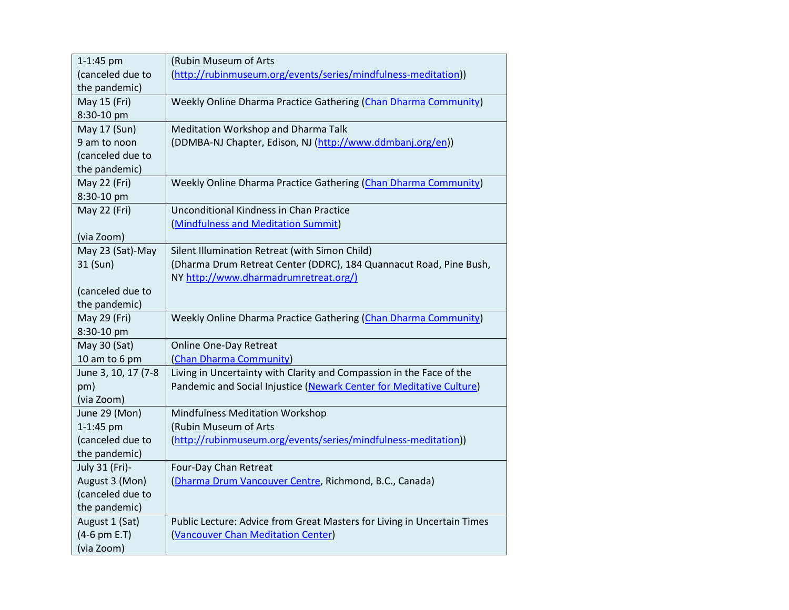| 1-1:45 pm           | (Rubin Museum of Arts                                                   |
|---------------------|-------------------------------------------------------------------------|
| (canceled due to    | (http://rubinmuseum.org/events/series/mindfulness-meditation))          |
| the pandemic)       |                                                                         |
| May 15 (Fri)        | Weekly Online Dharma Practice Gathering (Chan Dharma Community)         |
| 8:30-10 pm          |                                                                         |
| May 17 (Sun)        | Meditation Workshop and Dharma Talk                                     |
| 9 am to noon        | (DDMBA-NJ Chapter, Edison, NJ (http://www.ddmbanj.org/en))              |
| (canceled due to    |                                                                         |
| the pandemic)       |                                                                         |
| May 22 (Fri)        | Weekly Online Dharma Practice Gathering (Chan Dharma Community)         |
| 8:30-10 pm          |                                                                         |
| May 22 (Fri)        | <b>Unconditional Kindness in Chan Practice</b>                          |
|                     | (Mindfulness and Meditation Summit)                                     |
| (via Zoom)          |                                                                         |
| May 23 (Sat)-May    | Silent Illumination Retreat (with Simon Child)                          |
| 31 (Sun)            | (Dharma Drum Retreat Center (DDRC), 184 Quannacut Road, Pine Bush,      |
|                     | NY http://www.dharmadrumretreat.org/)                                   |
| (canceled due to    |                                                                         |
| the pandemic)       |                                                                         |
| May 29 (Fri)        | Weekly Online Dharma Practice Gathering (Chan Dharma Community)         |
| 8:30-10 pm          |                                                                         |
| May 30 (Sat)        | <b>Online One-Day Retreat</b>                                           |
| 10 am to 6 pm       | (Chan Dharma Community)                                                 |
| June 3, 10, 17 (7-8 | Living in Uncertainty with Clarity and Compassion in the Face of the    |
| pm)                 | Pandemic and Social Injustice (Newark Center for Meditative Culture)    |
| (via Zoom)          |                                                                         |
| June 29 (Mon)       | Mindfulness Meditation Workshop                                         |
| 1-1:45 pm           | (Rubin Museum of Arts                                                   |
| (canceled due to    | (http://rubinmuseum.org/events/series/mindfulness-meditation))          |
| the pandemic)       |                                                                         |
| July 31 (Fri)-      | Four-Day Chan Retreat                                                   |
| August 3 (Mon)      | (Dharma Drum Vancouver Centre, Richmond, B.C., Canada)                  |
| (canceled due to    |                                                                         |
| the pandemic)       |                                                                         |
| August 1 (Sat)      | Public Lecture: Advice from Great Masters for Living in Uncertain Times |
| (4-6 pm E.T)        | (Vancouver Chan Meditation Center)                                      |
| (via Zoom)          |                                                                         |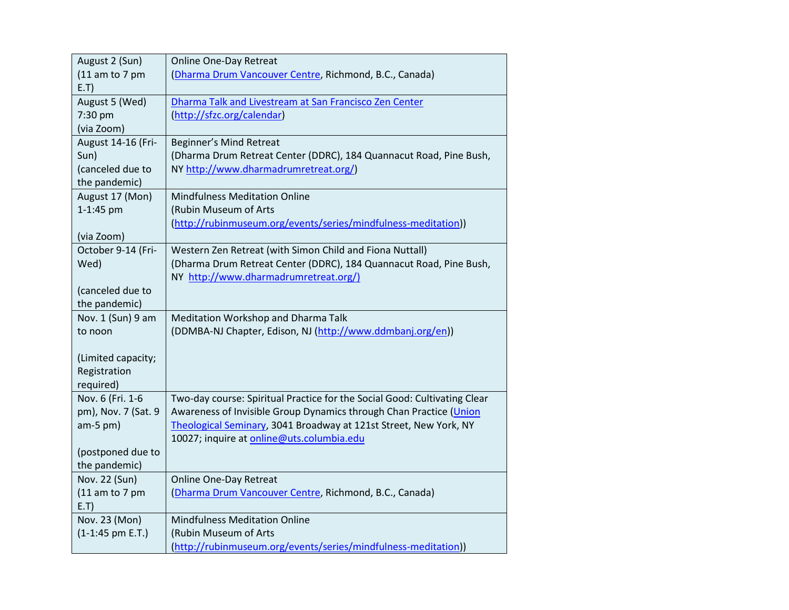| August 2 (Sun)      | <b>Online One-Day Retreat</b>                                             |
|---------------------|---------------------------------------------------------------------------|
| $(11$ am to 7 pm    | (Dharma Drum Vancouver Centre, Richmond, B.C., Canada)                    |
| E.T)                |                                                                           |
| August 5 (Wed)      | Dharma Talk and Livestream at San Francisco Zen Center                    |
| 7:30 pm             | (http://sfzc.org/calendar)                                                |
| (via Zoom)          |                                                                           |
| August 14-16 (Fri-  | Beginner's Mind Retreat                                                   |
| Sun)                | (Dharma Drum Retreat Center (DDRC), 184 Quannacut Road, Pine Bush,        |
| (canceled due to    | NY http://www.dharmadrumretreat.org/)                                     |
| the pandemic)       |                                                                           |
| August 17 (Mon)     | <b>Mindfulness Meditation Online</b>                                      |
| 1-1:45 pm           | (Rubin Museum of Arts                                                     |
|                     | (http://rubinmuseum.org/events/series/mindfulness-meditation))            |
| (via Zoom)          |                                                                           |
| October 9-14 (Fri-  | Western Zen Retreat (with Simon Child and Fiona Nuttall)                  |
| Wed)                | (Dharma Drum Retreat Center (DDRC), 184 Quannacut Road, Pine Bush,        |
|                     | NY http://www.dharmadrumretreat.org/)                                     |
| (canceled due to    |                                                                           |
| the pandemic)       |                                                                           |
| Nov. 1 (Sun) 9 am   | Meditation Workshop and Dharma Talk                                       |
| to noon             | (DDMBA-NJ Chapter, Edison, NJ (http://www.ddmbanj.org/en))                |
|                     |                                                                           |
| (Limited capacity;  |                                                                           |
| Registration        |                                                                           |
| required)           |                                                                           |
| Nov. 6 (Fri. 1-6    | Two-day course: Spiritual Practice for the Social Good: Cultivating Clear |
| pm), Nov. 7 (Sat. 9 | Awareness of Invisible Group Dynamics through Chan Practice (Union        |
| $am-5$ pm)          | Theological Seminary, 3041 Broadway at 121st Street, New York, NY         |
|                     | 10027; inquire at online@uts.columbia.edu                                 |
| (postponed due to   |                                                                           |
| the pandemic)       |                                                                           |
| Nov. 22 (Sun)       | Online One-Day Retreat                                                    |
| $(11$ am to 7 pm    | (Dharma Drum Vancouver Centre, Richmond, B.C., Canada)                    |
| E.T)                |                                                                           |
| Nov. 23 (Mon)       | <b>Mindfulness Meditation Online</b>                                      |
| $(1-1:45$ pm E.T.)  | (Rubin Museum of Arts                                                     |
|                     | (http://rubinmuseum.org/events/series/mindfulness-meditation))            |